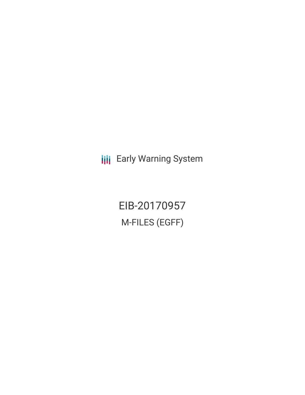**III** Early Warning System

EIB-20170957 M-FILES (EGFF)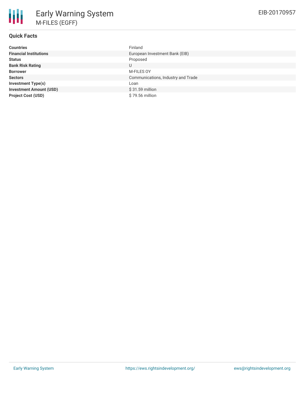# **Quick Facts**

| <b>Countries</b>               | Finland                            |
|--------------------------------|------------------------------------|
| <b>Financial Institutions</b>  | European Investment Bank (EIB)     |
| <b>Status</b>                  | Proposed                           |
| <b>Bank Risk Rating</b>        | U                                  |
| <b>Borrower</b>                | M-FILES OY                         |
| <b>Sectors</b>                 | Communications, Industry and Trade |
| <b>Investment Type(s)</b>      | Loan                               |
| <b>Investment Amount (USD)</b> | \$31.59 million                    |
| <b>Project Cost (USD)</b>      | \$79.56 million                    |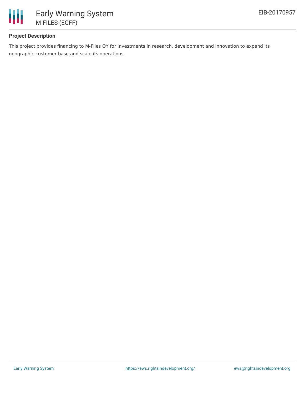

# **Project Description**

This project provides financing to M-Files OY for investments in research, development and innovation to expand its geographic customer base and scale its operations.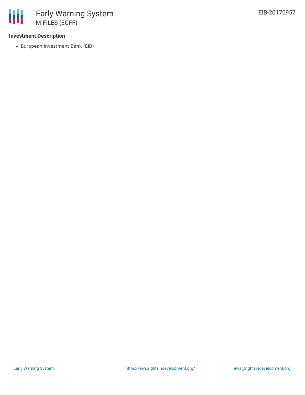### **Investment Description**

European Investment Bank (EIB)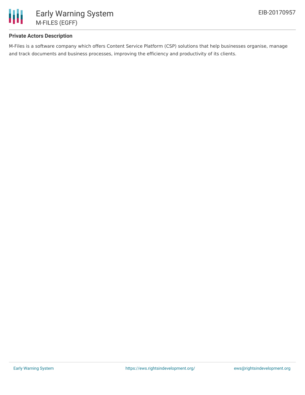

### **Private Actors Description**

M-Files is a software company which offers Content Service Platform (CSP) solutions that help businesses organise, manage and track documents and business processes, improving the efficiency and productivity of its clients.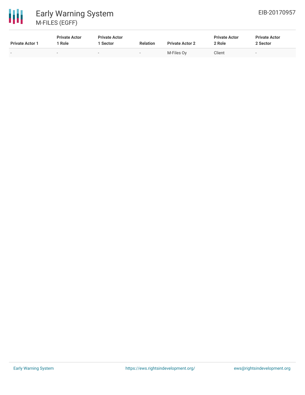

| <b>Private Actor 1</b> | <b>Private Actor</b><br>' Role | <b>Private Actor</b><br>1 Sector | <b>Relation</b> | <b>Private Actor 2</b> | <b>Private Actor</b><br>2 Role | <b>Private Actor</b><br>2 Sector |
|------------------------|--------------------------------|----------------------------------|-----------------|------------------------|--------------------------------|----------------------------------|
|                        | $\overline{\phantom{0}}$       | $\sim$                           | . .             | M-Files Ov             | Client                         | $\overline{\phantom{0}}$         |